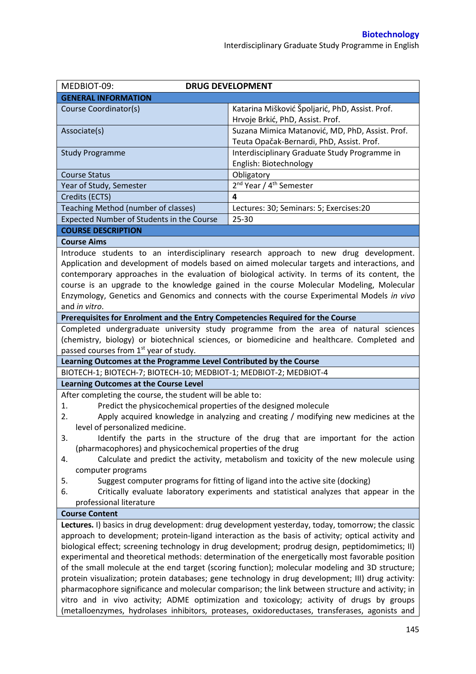| MEDBIOT-09:<br><b>DRUG DEVELOPMENT</b>                                                                                                                                                                                                                                                                                                                                                                                                                                                                                                                                                                                                                                                                                                                                                                                                                                                                                        |                                                                                                                                                                                     |  |  |  |
|-------------------------------------------------------------------------------------------------------------------------------------------------------------------------------------------------------------------------------------------------------------------------------------------------------------------------------------------------------------------------------------------------------------------------------------------------------------------------------------------------------------------------------------------------------------------------------------------------------------------------------------------------------------------------------------------------------------------------------------------------------------------------------------------------------------------------------------------------------------------------------------------------------------------------------|-------------------------------------------------------------------------------------------------------------------------------------------------------------------------------------|--|--|--|
| <b>GENERAL INFORMATION</b>                                                                                                                                                                                                                                                                                                                                                                                                                                                                                                                                                                                                                                                                                                                                                                                                                                                                                                    |                                                                                                                                                                                     |  |  |  |
| Course Coordinator(s)                                                                                                                                                                                                                                                                                                                                                                                                                                                                                                                                                                                                                                                                                                                                                                                                                                                                                                         | Katarina Mišković Špoljarić, PhD, Assist. Prof.<br>Hrvoje Brkić, PhD, Assist. Prof.                                                                                                 |  |  |  |
| Associate(s)                                                                                                                                                                                                                                                                                                                                                                                                                                                                                                                                                                                                                                                                                                                                                                                                                                                                                                                  | Suzana Mimica Matanović, MD, PhD, Assist. Prof.<br>Teuta Opačak-Bernardi, PhD, Assist. Prof.                                                                                        |  |  |  |
| <b>Study Programme</b>                                                                                                                                                                                                                                                                                                                                                                                                                                                                                                                                                                                                                                                                                                                                                                                                                                                                                                        | Interdisciplinary Graduate Study Programme in<br>English: Biotechnology                                                                                                             |  |  |  |
| <b>Course Status</b>                                                                                                                                                                                                                                                                                                                                                                                                                                                                                                                                                                                                                                                                                                                                                                                                                                                                                                          | Obligatory                                                                                                                                                                          |  |  |  |
| Year of Study, Semester                                                                                                                                                                                                                                                                                                                                                                                                                                                                                                                                                                                                                                                                                                                                                                                                                                                                                                       | 2 <sup>nd</sup> Year / 4 <sup>th</sup> Semester                                                                                                                                     |  |  |  |
| Credits (ECTS)                                                                                                                                                                                                                                                                                                                                                                                                                                                                                                                                                                                                                                                                                                                                                                                                                                                                                                                | 4                                                                                                                                                                                   |  |  |  |
| Teaching Method (number of classes)                                                                                                                                                                                                                                                                                                                                                                                                                                                                                                                                                                                                                                                                                                                                                                                                                                                                                           | Lectures: 30; Seminars: 5; Exercises:20                                                                                                                                             |  |  |  |
| Expected Number of Students in the Course                                                                                                                                                                                                                                                                                                                                                                                                                                                                                                                                                                                                                                                                                                                                                                                                                                                                                     | 25-30                                                                                                                                                                               |  |  |  |
| <b>COURSE DESCRIPTION</b>                                                                                                                                                                                                                                                                                                                                                                                                                                                                                                                                                                                                                                                                                                                                                                                                                                                                                                     |                                                                                                                                                                                     |  |  |  |
| <b>Course Aims</b>                                                                                                                                                                                                                                                                                                                                                                                                                                                                                                                                                                                                                                                                                                                                                                                                                                                                                                            |                                                                                                                                                                                     |  |  |  |
| Introduce students to an interdisciplinary research approach to new drug development.<br>Application and development of models based on aimed molecular targets and interactions, and<br>contemporary approaches in the evaluation of biological activity. In terms of its content, the<br>course is an upgrade to the knowledge gained in the course Molecular Modeling, Molecular<br>Enzymology, Genetics and Genomics and connects with the course Experimental Models in vivo<br>and in vitro.                                                                                                                                                                                                                                                                                                                                                                                                                            |                                                                                                                                                                                     |  |  |  |
| Prerequisites for Enrolment and the Entry Competencies Required for the Course                                                                                                                                                                                                                                                                                                                                                                                                                                                                                                                                                                                                                                                                                                                                                                                                                                                |                                                                                                                                                                                     |  |  |  |
| passed courses from 1 <sup>st</sup> year of study.                                                                                                                                                                                                                                                                                                                                                                                                                                                                                                                                                                                                                                                                                                                                                                                                                                                                            | Completed undergraduate university study programme from the area of natural sciences<br>(chemistry, biology) or biotechnical sciences, or biomedicine and healthcare. Completed and |  |  |  |
| Learning Outcomes at the Programme Level Contributed by the Course                                                                                                                                                                                                                                                                                                                                                                                                                                                                                                                                                                                                                                                                                                                                                                                                                                                            |                                                                                                                                                                                     |  |  |  |
| BIOTECH-1; BIOTECH-7; BIOTECH-10; MEDBIOT-1; MEDBIOT-2; MEDBIOT-4                                                                                                                                                                                                                                                                                                                                                                                                                                                                                                                                                                                                                                                                                                                                                                                                                                                             |                                                                                                                                                                                     |  |  |  |
| <b>Learning Outcomes at the Course Level</b>                                                                                                                                                                                                                                                                                                                                                                                                                                                                                                                                                                                                                                                                                                                                                                                                                                                                                  |                                                                                                                                                                                     |  |  |  |
| After completing the course, the student will be able to:<br>Predict the physicochemical properties of the designed molecule<br>1.<br>Apply acquired knowledge in analyzing and creating $/$ modifying new medicines at the<br>2.<br>level of personalized medicine.<br>3.<br>Identify the parts in the structure of the drug that are important for the action<br>(pharmacophores) and physicochemical properties of the drug                                                                                                                                                                                                                                                                                                                                                                                                                                                                                                |                                                                                                                                                                                     |  |  |  |
| Calculate and predict the activity, metabolism and toxicity of the new molecule using<br>4.<br>computer programs                                                                                                                                                                                                                                                                                                                                                                                                                                                                                                                                                                                                                                                                                                                                                                                                              |                                                                                                                                                                                     |  |  |  |
| Suggest computer programs for fitting of ligand into the active site (docking)<br>5.<br>Critically evaluate laboratory experiments and statistical analyzes that appear in the<br>6.<br>professional literature                                                                                                                                                                                                                                                                                                                                                                                                                                                                                                                                                                                                                                                                                                               |                                                                                                                                                                                     |  |  |  |
| <b>Course Content</b>                                                                                                                                                                                                                                                                                                                                                                                                                                                                                                                                                                                                                                                                                                                                                                                                                                                                                                         |                                                                                                                                                                                     |  |  |  |
| Lectures. I) basics in drug development: drug development yesterday, today, tomorrow; the classic<br>approach to development; protein-ligand interaction as the basis of activity; optical activity and<br>biological effect; screening technology in drug development; prodrug design, peptidomimetics; II)<br>experimental and theoretical methods: determination of the energetically most favorable position<br>of the small molecule at the end target (scoring function); molecular modeling and 3D structure;<br>protein visualization; protein databases; gene technology in drug development; III) drug activity:<br>pharmacophore significance and molecular comparison; the link between structure and activity; in<br>vitro and in vivo activity; ADME optimization and toxicology; activity of drugs by groups<br>(metalloenzymes, hydrolases inhibitors, proteases, oxidoreductases, transferases, agonists and |                                                                                                                                                                                     |  |  |  |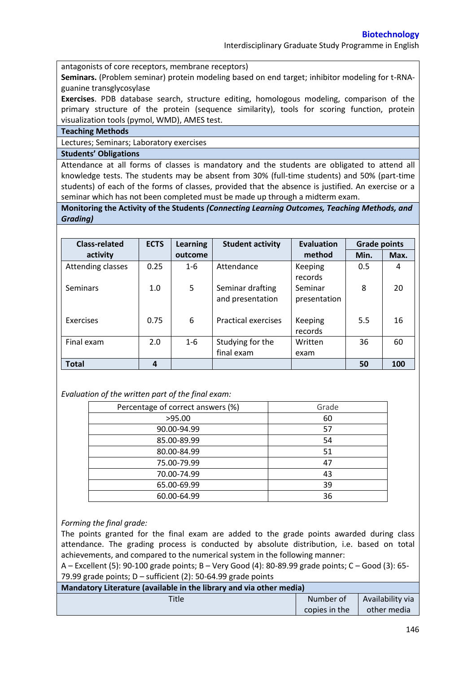Interdisciplinary Graduate Study Programme in English

antagonists of core receptors, membrane receptors)

**Seminars.** (Problem seminar) protein modeling based on end target; inhibitor modeling for t-RNAguanine transglycosylase

**Exercises**. PDB database search, structure editing, homologous modeling, comparison of the primary structure of the protein (sequence similarity), tools for scoring function, protein visualization tools (pymol, WMD), AMES test.

## **Teaching Methods**

Lectures; Seminars; Laboratory exercises

## **Students' Obligations**

Attendance at all forms of classes is mandatory and the students are obligated to attend all knowledge tests. The students may be absent from 30% (full-time students) and 50% (part-time students) of each of the forms of classes, provided that the absence is justified. An exercise or a seminar which has not been completed must be made up through a midterm exam.

**Monitoring the Activity of the Students** *(Connecting Learning Outcomes, Teaching Methods, and Grading)*

| <b>Class-related</b> | <b>ECTS</b> | <b>Learning</b> | <b>Student activity</b>              | <b>Evaluation</b>       | <b>Grade points</b> |      |
|----------------------|-------------|-----------------|--------------------------------------|-------------------------|---------------------|------|
| activity             |             | outcome         |                                      | method                  | Min.                | Max. |
| Attending classes    | 0.25        | $1 - 6$         | Attendance                           | Keeping<br>records      | 0.5                 | 4    |
| <b>Seminars</b>      | 1.0         | 5               | Seminar drafting<br>and presentation | Seminar<br>presentation | 8                   | 20   |
| Exercises            | 0.75        | 6               | <b>Practical exercises</b>           | Keeping<br>records      | 5.5                 | 16   |
| Final exam           | 2.0         | $1 - 6$         | Studying for the                     | Written                 | 36                  | 60   |
|                      |             |                 | final exam                           | exam                    |                     |      |
| <b>Total</b>         | 4           |                 |                                      |                         | 50                  | 100  |

## *Evaluation of the written part of the final exam:*

| Percentage of correct answers (%) | Grade |
|-----------------------------------|-------|
| >95.00                            | 60    |
| 90.00-94.99                       | 57    |
| 85.00-89.99                       | 54    |
| 80.00-84.99                       | 51    |
| 75.00-79.99                       | 47    |
| 70.00-74.99                       | 43    |
| 65.00-69.99                       | 39    |
| 60.00-64.99                       | 36    |

## *Forming the final grade:*

The points granted for the final exam are added to the grade points awarded during class attendance. The grading process is conducted by absolute distribution, i.e. based on total achievements, and compared to the numerical system in the following manner:

A – Excellent (5): 90-100 grade points; B – Very Good (4): 80-89.99 grade points; C – Good (3): 65- 79.99 grade points; D – sufficient (2): 50-64.99 grade points

| Mandatory Literature (available in the library and via other media) |               |                  |  |  |  |
|---------------------------------------------------------------------|---------------|------------------|--|--|--|
| Title                                                               | Number of     | Availability via |  |  |  |
|                                                                     | copies in the | other media      |  |  |  |